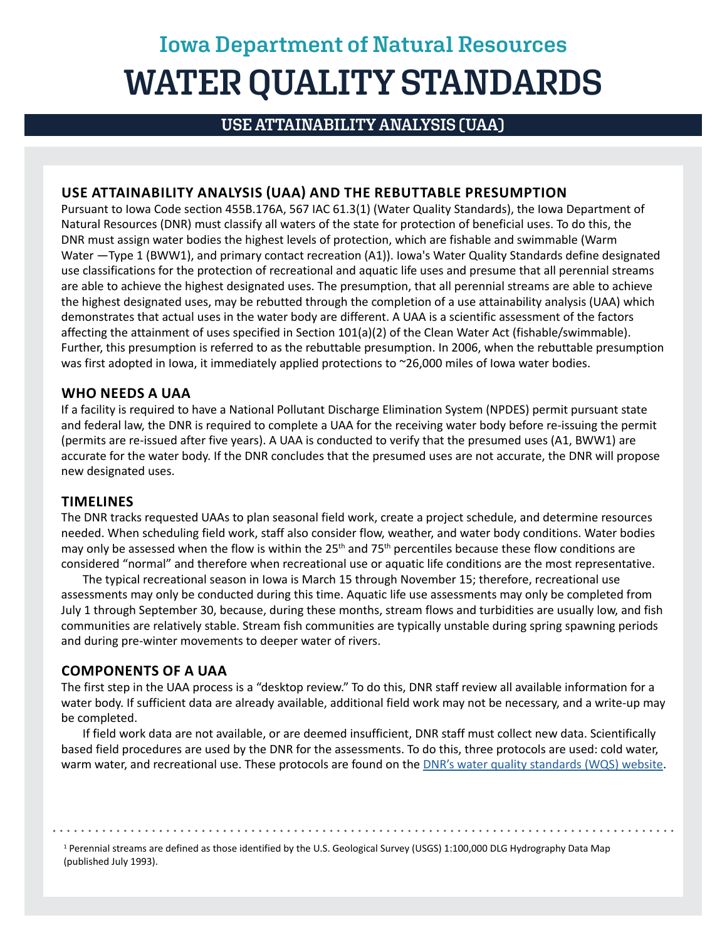# **Iowa Department of Natural Resources WATER QUALITY STANDARDS**

## **USE ATTAINABILITY ANALYSIS (UAA)**

### **USE ATTAINABILITY ANALYSIS (UAA) AND THE REBUTTABLE PRESUMPTION**

Pursuant to Iowa Code section 455B.176A, 567 IAC 61.3(1) (Water Quality Standards), the Iowa Department of Natural Resources (DNR) must classify all waters of the state for protection of beneficial uses. To do this, the DNR must assign water bodies the highest levels of protection, which are fishable and swimmable (Warm Water —Type 1 (BWW1), and primary contact recreation (A1)). Iowa's Water Quality Standards define designated use classifications for the protection of recreational and aquatic life uses and presume that all perennial streams are able to achieve the highest designated uses. The presumption, that all perennial streams are able to achieve the highest designated uses, may be rebutted through the completion of a use attainability analysis (UAA) which demonstrates that actual uses in the water body are different. A UAA is a scientific assessment of the factors affecting the attainment of uses specified in Section 101(a)(2) of the Clean Water Act (fishable/swimmable). Further, this presumption is referred to as the rebuttable presumption. In 2006, when the rebuttable presumption was first adopted in Iowa, it immediately applied protections to ~26,000 miles of Iowa water bodies.

#### **WHO NEEDS A UAA**

If a facility is required to have a National Pollutant Discharge Elimination System (NPDES) permit pursuant state and federal law, the DNR is required to complete a UAA for the receiving water body before re-issuing the permit (permits are re-issued after five years). A UAA is conducted to verify that the presumed uses (A1, BWW1) are accurate for the water body. If the DNR concludes that the presumed uses are not accurate, the DNR will propose new designated uses.

#### **TIMELINES**

The DNR tracks requested UAAs to plan seasonal field work, create a project schedule, and determine resources needed. When scheduling field work, staff also consider flow, weather, and water body conditions. Water bodies may only be assessed when the flow is within the  $25<sup>th</sup>$  and  $75<sup>th</sup>$  percentiles because these flow conditions are considered "normal" and therefore when recreational use or aquatic life conditions are the most representative.

The typical recreational season in Iowa is March 15 through November 15; therefore, recreational use assessments may only be conducted during this time. Aquatic life use assessments may only be completed from July 1 through September 30, because, during these months, stream flows and turbidities are usually low, and fish communities are relatively stable. Stream fish communities are typically unstable during spring spawning periods and during pre-winter movements to deeper water of rivers.

#### **COMPONENTS OF A UAA**

The first step in the UAA process is a "desktop review." To do this, DNR staff review all available information for a water body. If sufficient data are already available, additional field work may not be necessary, and a write-up may be completed.

If field work data are not available, or are deemed insufficient, DNR staff must collect new data. Scientifically based field procedures are used by the DNR for the assessments. To do this, three protocols are used: cold water, warm water, and recreational use. These protocols are found on the [DNR's water quality standards \(WQS\) website.](https://www.iowadnr.gov/Environmental-Protection/Water-Quality/Water-Quality-Standards)

<sup>1</sup> Perennial streams are defined as those identified by the U.S. Geological Survey (USGS) 1:100,000 DLG Hydrography Data Map (published July 1993).